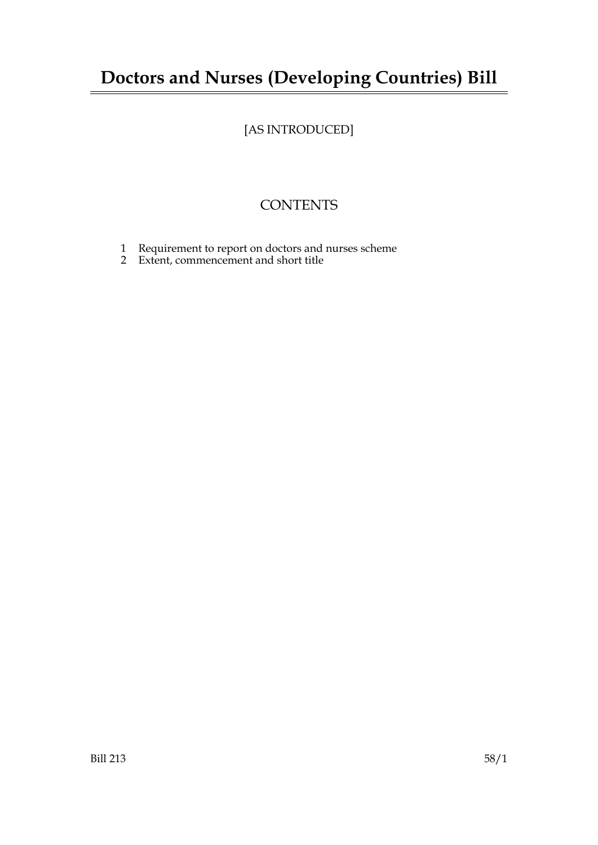## **Doctors and Nurses (Developing Countries) Bill**

## [AS INTRODUCED]

## **CONTENTS**

- 1 Requirement to report on doctors and nurses scheme
- 2 Extent, commencement and short title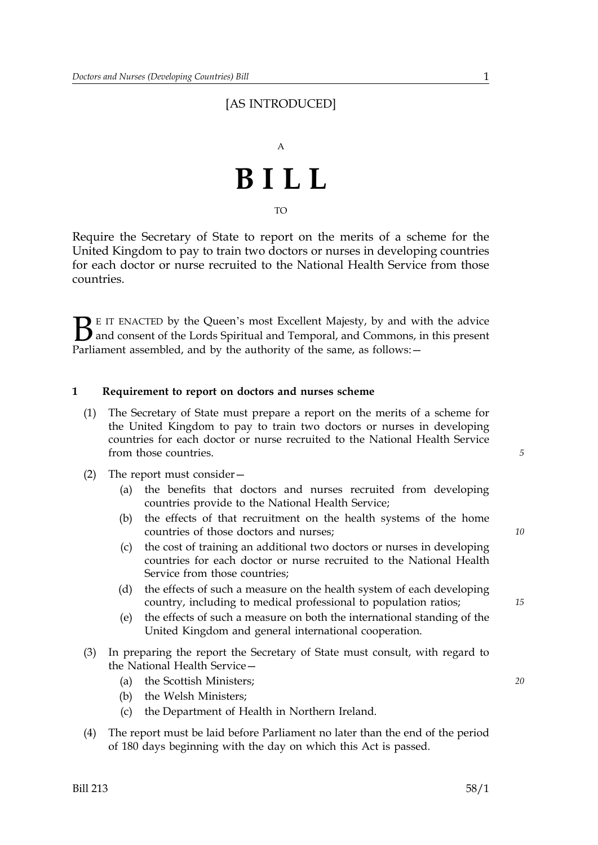### [AS INTRODUCED]

# A **BILL**

TO

Require the Secretary of State to report on the merits of a scheme for the United Kingdom to pay to train two doctors or nurses in developing countries for each doctor or nurse recruited to the National Health Service from those countries.

 $\sum$  E IT ENACTED by the Queen's most Excellent Majesty, by and with the advice<br>and consent of the Lords Spiritual and Temporal, and Commons, in this present<br>Parliament assembled, and by the authority of the same as follo and consent of the Lords Spiritual and Temporal, and Commons, in this present Parliament assembled, and by the authority of the same, as follows: -

#### **1 Requirement to report on doctors and nurses scheme**

- (1) The Secretary of State must prepare a report on the merits of a scheme for the United Kingdom to pay to train two doctors or nurses in developing countries for each doctor or nurse recruited to the National Health Service from those countries.
- (2) The report must consider—
	- (a) the benefits that doctors and nurses recruited from developing countries provide to the National Health Service;
	- (b) the effects of that recruitment on the health systems of the home countries of those doctors and nurses;
	- (c) the cost of training an additional two doctors or nurses in developing countries for each doctor or nurse recruited to the National Health Service from those countries;
	- (d) the effects of such a measure on the health system of each developing country, including to medical professional to population ratios;
	- (e) the effects of such a measure on both the international standing of the United Kingdom and general international cooperation.
- (3) In preparing the report the Secretary of State must consult, with regard to the National Health Service—
	- (a) the Scottish Ministers; *20*
	- (b) the Welsh Ministers;
	- (c) the Department of Health in Northern Ireland.
- (4) The report must be laid before Parliament no later than the end of the period of 180 days beginning with the day on which this Act is passed.

*5* 

*10* 

*15*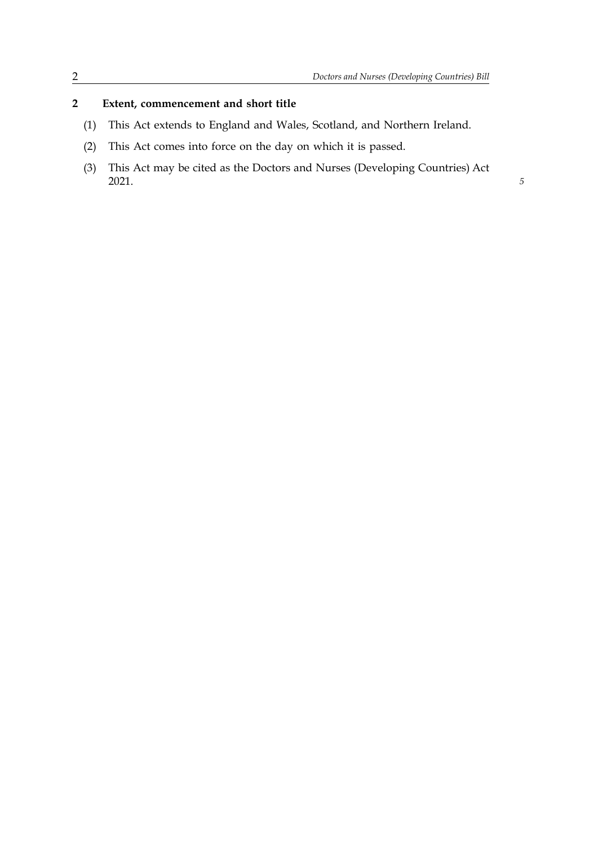*5* 

#### **2 Extent, commencement and short title**

- (1) This Act extends to England and Wales, Scotland, and Northern Ireland.
- (2) This Act comes into force on the day on which it is passed.
- (3) This Act may be cited as the Doctors and Nurses (Developing Countries) Act 2021.